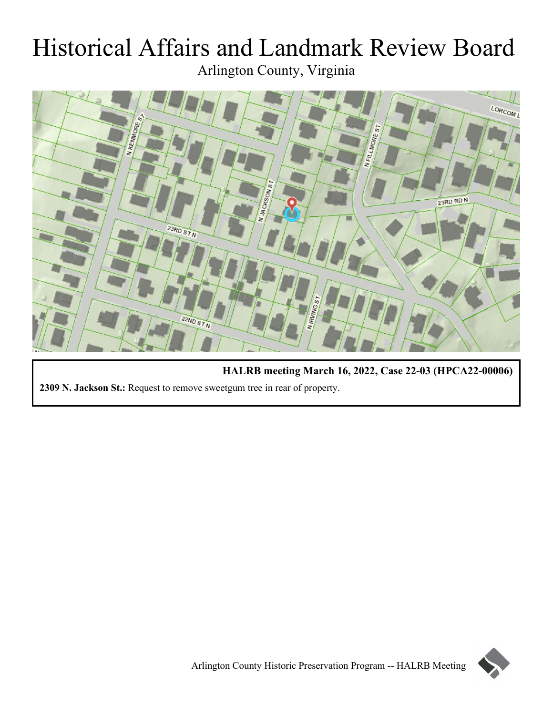# Historical Affairs and Landmark Review Board Arlington County, Virginia



**HALRB meeting March 16, 2022, Case 22-03 (HPCA22-00006) 2309 N. Jackson St.:** Request to remove sweetgum tree in rear of property.

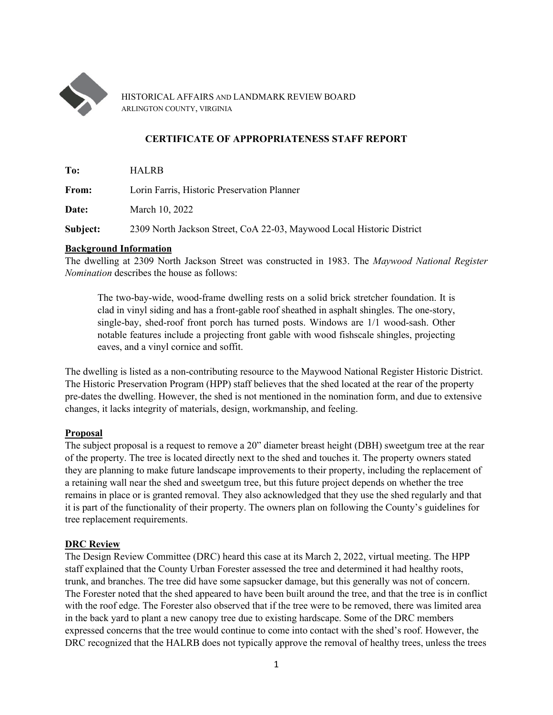

HISTORICAL AFFAIRS AND LANDMARK REVIEW BOARD ARLINGTON COUNTY, VIRGINIA

## **CERTIFICATE OF APPROPRIATENESS STAFF REPORT**

**To:** HALRB

**From:** Lorin Farris, Historic Preservation Planner

**Date:** March 10, 2022

**Subject:** 2309 North Jackson Street, CoA 22-03, Maywood Local Historic District

#### **Background Information**

The dwelling at 2309 North Jackson Street was constructed in 1983. The *Maywood National Register Nomination* describes the house as follows:

The two-bay-wide, wood-frame dwelling rests on a solid brick stretcher foundation. It is clad in vinyl siding and has a front-gable roof sheathed in asphalt shingles. The one-story, single-bay, shed-roof front porch has turned posts. Windows are 1/1 wood-sash. Other notable features include a projecting front gable with wood fishscale shingles, projecting eaves, and a vinyl cornice and soffit.

The dwelling is listed as a non-contributing resource to the Maywood National Register Historic District. The Historic Preservation Program (HPP) staff believes that the shed located at the rear of the property pre-dates the dwelling. However, the shed is not mentioned in the nomination form, and due to extensive changes, it lacks integrity of materials, design, workmanship, and feeling.

## **Proposal**

The subject proposal is a request to remove a 20" diameter breast height (DBH) sweetgum tree at the rear of the property. The tree is located directly next to the shed and touches it. The property owners stated they are planning to make future landscape improvements to their property, including the replacement of a retaining wall near the shed and sweetgum tree, but this future project depends on whether the tree remains in place or is granted removal. They also acknowledged that they use the shed regularly and that it is part of the functionality of their property. The owners plan on following the County's guidelines for tree replacement requirements.

## **DRC Review**

The Design Review Committee (DRC) heard this case at its March 2, 2022, virtual meeting. The HPP staff explained that the County Urban Forester assessed the tree and determined it had healthy roots, trunk, and branches. The tree did have some sapsucker damage, but this generally was not of concern. The Forester noted that the shed appeared to have been built around the tree, and that the tree is in conflict with the roof edge. The Forester also observed that if the tree were to be removed, there was limited area in the back yard to plant a new canopy tree due to existing hardscape. Some of the DRC members expressed concerns that the tree would continue to come into contact with the shed's roof. However, the DRC recognized that the HALRB does not typically approve the removal of healthy trees, unless the trees